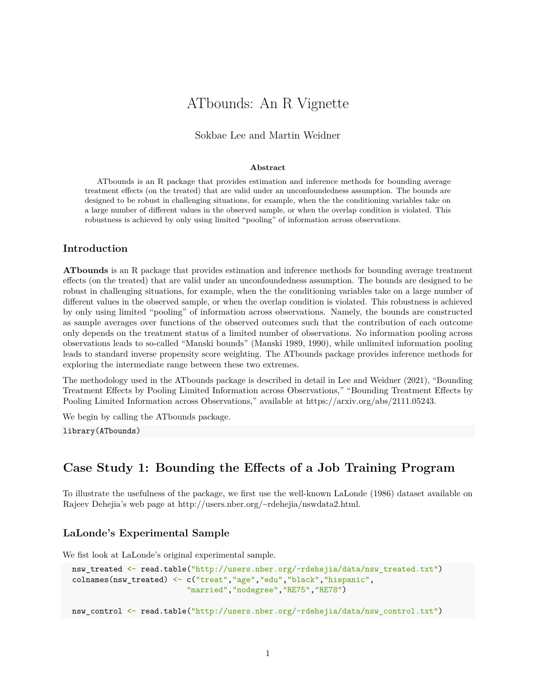# ATbounds: An R Vignette

### Sokbae Lee and Martin Weidner

#### **Abstract**

ATbounds is an R package that provides estimation and inference methods for bounding average treatment effects (on the treated) that are valid under an unconfoundedness assumption. The bounds are designed to be robust in challenging situations, for example, when the the conditioning variables take on a large number of different values in the observed sample, or when the overlap condition is violated. This robustness is achieved by only using limited "pooling" of information across observations.

# **Introduction**

**ATbounds** is an R package that provides estimation and inference methods for bounding average treatment effects (on the treated) that are valid under an unconfoundedness assumption. The bounds are designed to be robust in challenging situations, for example, when the the conditioning variables take on a large number of different values in the observed sample, or when the overlap condition is violated. This robustness is achieved by only using limited "pooling" of information across observations. Namely, the bounds are constructed as sample averages over functions of the observed outcomes such that the contribution of each outcome only depends on the treatment status of a limited number of observations. No information pooling across observations leads to so-called "Manski bounds" (Manski 1989, 1990), while unlimited information pooling leads to standard inverse propensity score weighting. The ATbounds package provides inference methods for exploring the intermediate range between these two extremes.

The methodology used in the ATbounds package is described in detail in Lee and Weidner (2021), "Bounding Treatment Effects by Pooling Limited Information across Observations," "Bounding Treatment Effects by Pooling Limited Information across Observations," available at [https://arxiv.org/abs/2111.05243.](https://arxiv.org/abs/2111.05243)

We begin by calling the ATbounds package.

library(ATbounds)

# **Case Study 1: Bounding the Effects of a Job Training Program**

To illustrate the usefulness of the package, we first use the well-known LaLonde (1986) dataset available on Rajeev Dehejia's web page at [http://users.nber.org/~rdehejia/nswdata2.html.](http://users.nber.org/~rdehejia/nswdata2.html)

# **LaLonde's Experimental Sample**

We fist look at LaLonde's original experimental sample.

```
nsw treated <- read.table("http://users.nber.org/~rdehejia/data/nsw treated.txt")
colnames(nsw treated) <- c("treat","age","edu","black","hispanic",
                         "married","nodegree","RE75","RE78")
```

```
nsw_control <- read.table("http://users.nber.org/~rdehejia/data/nsw_control.txt")
```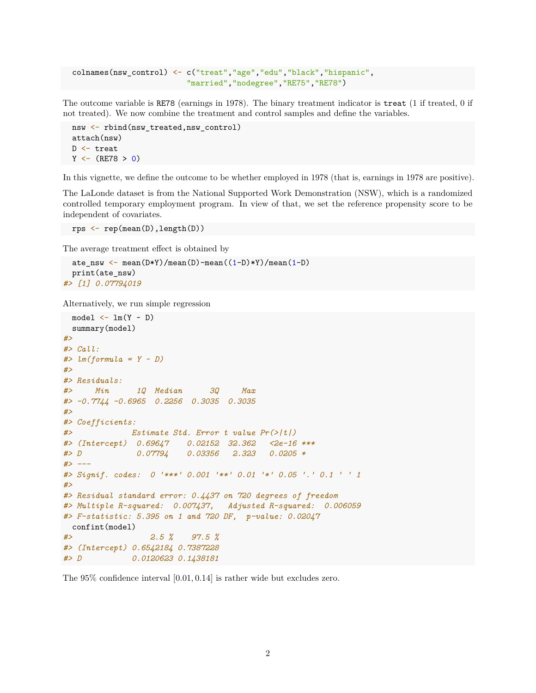```
colnames(nsw_control) <- c("treat","age","edu","black","hispanic",
                         "married","nodegree","RE75","RE78")
```
The outcome variable is RE78 (earnings in 1978). The binary treatment indicator is treat (1 if treated, 0 if not treated). We now combine the treatment and control samples and define the variables.

```
nsw <- rbind(nsw_treated,nsw_control)
attach(nsw)
D <- treat
Y \leftarrow (RE78 > 0)
```
In this vignette, we define the outcome to be whether employed in 1978 (that is, earnings in 1978 are positive).

The LaLonde dataset is from the National Supported Work Demonstration (NSW), which is a randomized controlled temporary employment program. In view of that, we set the reference propensity score to be independent of covariates.

```
rps <- rep(mean(D),length(D))
```
The average treatment effect is obtained by

```
ate_nsw <- mean(D*Y)/mean(D)-mean((1-D)*Y)/mean(1-D)
 print(ate_nsw)
#> [1] 0.07794019
```
Alternatively, we run simple regression

```
model \leftarrow lm(Y \sim D)summary(model)
#>
#> Call:
#> lm(formula = Y ~ D)
#>
#> Residuals:
#> Min 1Q Median 3Q Max
#> -0.7744 -0.6965 0.2256 0.3035 0.3035
#>
#> Coefficients:
#> Estimate Std. Error t value Pr(>|t|)
#> (Intercept) 0.69647 0.02152 32.362 <2e-16 ***
#> D 0.07794 0.03356 2.323 0.0205 *
#> ---
#> Signif. codes: 0 '***' 0.001 '**' 0.01 '*' 0.05 '.' 0.1 ' ' 1
#>
#> Residual standard error: 0.4437 on 720 degrees of freedom
#> Multiple R-squared: 0.007437, Adjusted R-squared: 0.006059
#> F-statistic: 5.395 on 1 and 720 DF, p-value: 0.02047
 confint(model)
#> 2.5 % 97.5 %
#> (Intercept) 0.6542184 0.7387228
#> D 0.0120623 0.1438181
```
The 95% confidence interval [0*.*01*,* 0*.*14] is rather wide but excludes zero.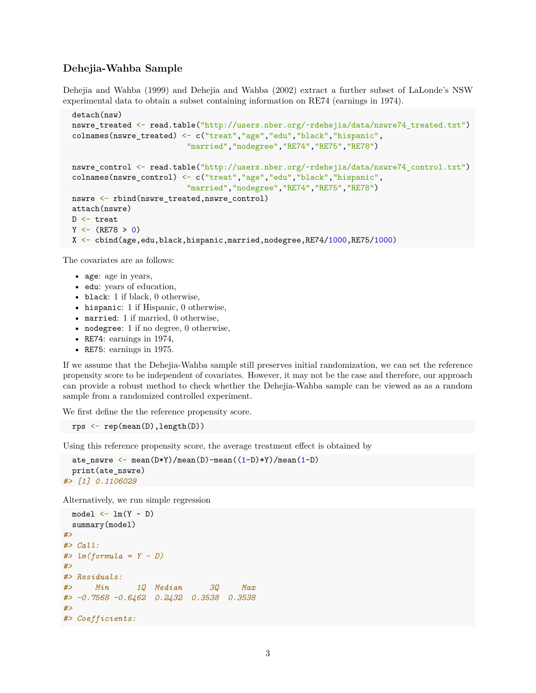# **Dehejia-Wahba Sample**

Dehejia and Wahba (1999) and Dehejia and Wahba (2002) extract a further subset of LaLonde's NSW experimental data to obtain a subset containing information on RE74 (earnings in 1974).

```
detach(nsw)
nswre_treated <- read.table("http://users.nber.org/~rdehejia/data/nswre74_treated.txt")
colnames(nswre_treated) <- c("treat","age","edu","black","hispanic",
                         "married","nodegree","RE74","RE75","RE78")
nswre_control <- read.table("http://users.nber.org/~rdehejia/data/nswre74_control.txt")
colnames(nswre_control) <- c("treat","age","edu","black","hispanic",
                         "married","nodegree","RE74","RE75","RE78")
nswre <- rbind(nswre_treated,nswre_control)
attach(nswre)
D <- treat
Y \leftarrow (RE78 > 0)X <- cbind(age,edu,black,hispanic,married,nodegree,RE74/1000,RE75/1000)
```
The covariates are as follows:

- age: age in years,
- edu: years of education,
- black: 1 if black, 0 otherwise,
- hispanic: 1 if Hispanic, 0 otherwise,
- married: 1 if married, 0 otherwise,
- nodegree: 1 if no degree, 0 otherwise,
- RE74: earnings in 1974,
- RE75: earnings in 1975.

If we assume that the Dehejia-Wahba sample still preserves initial randomization, we can set the reference propensity score to be independent of covariates. However, it may not be the case and therefore, our approach can provide a robust method to check whether the Dehejia-Wahba sample can be viewed as as a random sample from a randomized controlled experiment.

We first define the the reference propensity score.

rps <- rep(mean(D),length(D))

Using this reference propensity score, the average treatment effect is obtained by

```
ate_nswre \leftarrow mean(D*Y)/mean(D)-mean((1-D)*Y)/mean(1-D)
  print(ate_nswre)
#> [1] 0.1106029
```
Alternatively, we run simple regression

```
model \leftarrow lm(Y \sim D)summary(model)
#>
#> Call:
#> lm(formula = Y ~ D)
#>
#> Residuals:
#> Min 1Q Median 3Q Max
#> -0.7568 -0.6462 0.2432 0.3538 0.3538
#>
#> Coefficients:
```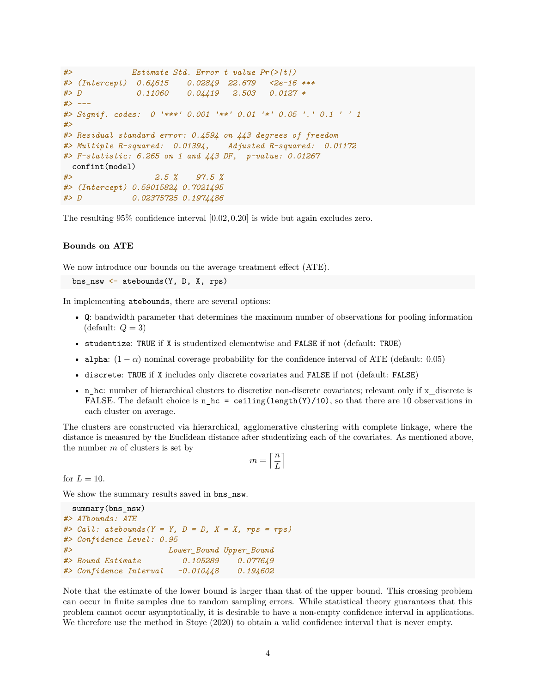```
#> Estimate Std. Error t value Pr(>|t|)
#> (Intercept) 0.64615 0.02849 22.679 <2e-16 ***
#> D 0.11060 0.04419 2.503 0.0127 *
#> ---
#> Signif. codes: 0 '***' 0.001 '**' 0.01 '*' 0.05 '.' 0.1 ' ' 1
#>
#> Residual standard error: 0.4594 on 443 degrees of freedom
#> Multiple R-squared: 0.01394, Adjusted R-squared: 0.01172
#> F-statistic: 6.265 on 1 and 443 DF, p-value: 0.01267
 confint(model)
#> 2.5 % 97.5 %
#> (Intercept) 0.59015824 0.7021495
#> D 0.02375725 0.1974486
```
The resulting 95% confidence interval [0*.*02*,* 0*.*20] is wide but again excludes zero.

#### **Bounds on ATE**

We now introduce our bounds on the average treatment effect (ATE).

bns  $nsw \leftarrow$  atebounds(Y, D, X, rps)

In implementing atebounds, there are several options:

- Q: bandwidth parameter that determines the maximum number of observations for pooling information  $(default: Q = 3)$
- studentize: TRUE if X is studentized elementwise and FALSE if not (default: TRUE)
- alpha:  $(1 \alpha)$  nominal coverage probability for the confidence interval of ATE (default: 0.05)
- discrete: TRUE if X includes only discrete covariates and FALSE if not (default: FALSE)
- n\_hc: number of hierarchical clusters to discretize non-discrete covariates; relevant only if x\_discrete is FALSE. The default choice is  $n_hc =$  ceiling(length(Y)/10), so that there are 10 observations in each cluster on average.

The clusters are constructed via hierarchical, agglomerative clustering with complete linkage, where the distance is measured by the Euclidean distance after studentizing each of the covariates. As mentioned above, the number *m* of clusters is set by

$$
m=\left\lceil\frac{n}{L}\right\rceil
$$

for  $L = 10$ .

We show the summary results saved in bns nsw.

```
summary(bns_nsw)
#> ATbounds: ATE
#> Call: atebounds(Y = Y, D = D, X = X, rps = rps)
#> Confidence Level: 0.95
#> Lower_Bound Upper_Bound
#> Bound Estimate 0.105289 0.077649
#> Confidence Interval -0.010448 0.194602
```
Note that the estimate of the lower bound is larger than that of the upper bound. This crossing problem can occur in finite samples due to random sampling errors. While statistical theory guarantees that this problem cannot occur asymptotically, it is desirable to have a non-empty confidence interval in applications. We therefore use the method in Stoye (2020) to obtain a valid confidence interval that is never empty.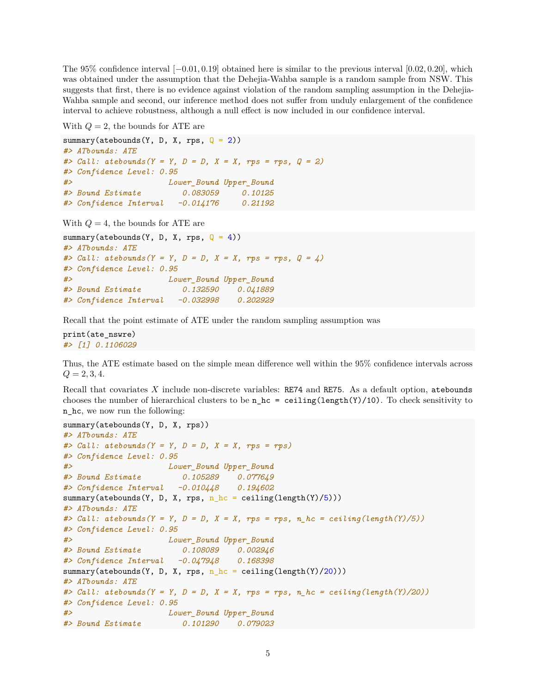The 95% confidence interval [−0*.*01*,* 0*.*19] obtained here is similar to the previous interval [0*.*02*,* 0*.*20], which was obtained under the assumption that the Dehejia-Wahba sample is a random sample from NSW. This suggests that first, there is no evidence against violation of the random sampling assumption in the Dehejia-Wahba sample and second, our inference method does not suffer from unduly enlargement of the confidence interval to achieve robustness, although a null effect is now included in our confidence interval.

With *Q* = 2, the bounds for ATE are

```
summary(atebounds(Y, D, X, rps, Q = 2))
#> ATbounds: ATE
#> Call: atebounds(Y = Y, D = D, X = X, rps = rps, Q = 2)
#> Confidence Level: 0.95
#> Lower_Bound Upper_Bound
#> Bound Estimate 0.083059 0.10125
#> Confidence Interval -0.014176 0.21192
```
With *Q* = 4, the bounds for ATE are

```
summary(atebounds(Y, D, X, rps, Q = 4))
#> ATbounds: ATE
#> Call: atebounds(Y = Y, D = D, X = X, rps = rps, Q = 4)
#> Confidence Level: 0.95
#> Lower_Bound Upper_Bound
#> Bound Estimate 0.132590 0.041889
#> Confidence Interval -0.032998 0.202929
```
Recall that the point estimate of ATE under the random sampling assumption was

print(ate\_nswre) *#> [1] 0.1106029*

Thus, the ATE estimate based on the simple mean difference well within the 95% confidence intervals across  $Q = 2, 3, 4.$ 

Recall that covariates *X* include non-discrete variables: RE74 and RE75. As a default option, atebounds chooses the number of hierarchical clusters to be  $n_hc =$  ceiling(length(Y)/10). To check sensitivity to n hc, we now run the following:

```
summary(atebounds(Y, D, X, rps))
#> ATbounds: ATE
#> Call: atebounds(Y = Y, D = D, X = X, rps = rps)
#> Confidence Level: 0.95
#> Lower_Bound Upper_Bound
#> Bound Estimate 0.105289 0.077649
#> Confidence Interval -0.010448 0.194602
summary(atebounds(Y, D, X, rps, n_hc = ceiling(length(Y)/5)))
#> ATbounds: ATE
#> Call: atebounds(Y = Y, D = D, X = X, rps = rps, n_hc = ceiling(length(Y)/5))
#> Confidence Level: 0.95
#> Lower_Bound Upper_Bound
#> Bound Estimate 0.108089 0.002946
#> Confidence Interval -0.047948 0.168398
summary(atebounds(Y, D, X, rps, n_hc = ceiling(length(Y)/20)))
#> ATbounds: ATE
#> Call: atebounds(Y = Y, D = D, X = X, rps = rps, n_hc = ceiling(length(Y)/20))
#> Confidence Level: 0.95
#> Lower_Bound Upper_Bound
#> Bound Estimate 0.101290 0.079023
```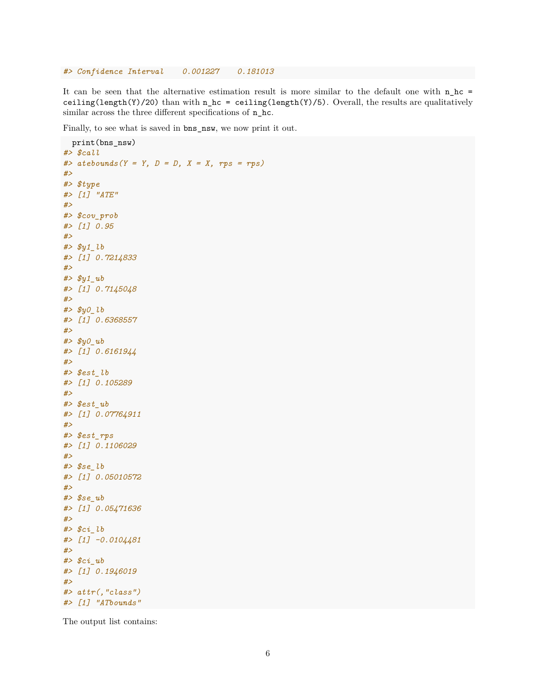*#> Confidence Interval 0.001227 0.181013*

It can be seen that the alternative estimation result is more similar to the default one with  $n_hc =$ ceiling(length(Y)/20) than with n\_hc = ceiling(length(Y)/5). Overall, the results are qualitatively similar across the three different specifications of  $n_h$ .

Finally, to see what is saved in bns\_nsw, we now print it out.

```
print(bns_nsw)
#> $call
#> atebounds(Y = Y, D = D, X = X, rps = rps)
#>
#> $type
#> [1] "ATE"
#>
#> $cov_prob
#> [1] 0.95
#>
#> $y1_lb
#> [1] 0.7214833
#>
#> $y1_ub
#> [1] 0.7145048
#>
#> $y0_lb
#> [1] 0.6368557
#>
#> $y0_ub
#> [1] 0.6161944
#>
#> $est_lb
#> [1] 0.105289
#>
#> $est_ub
#> [1] 0.07764911
#>
#> $est_rps
#> [1] 0.1106029
#>
#> $se_lb
#> [1] 0.05010572
#>
#> $se_ub
#> [1] 0.05471636
#>
#> $ci_lb
#> [1] -0.0104481
#>
#> $ci_ub
#> [1] 0.1946019
#>
#> attr(,"class")
#> [1] "ATbounds"
```
The output list contains: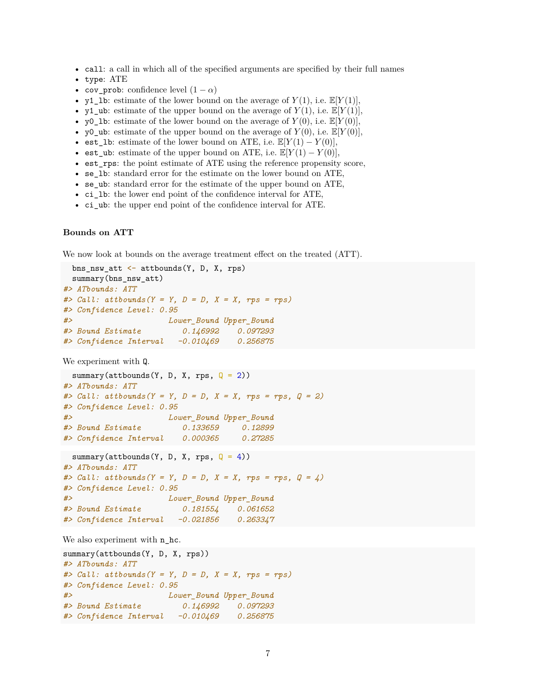- call: a call in which all of the specified arguments are specified by their full names
- type: ATE
- cov\_prob: confidence level  $(1 \alpha)$
- y1\_1b: estimate of the lower bound on the average of  $Y(1)$ , i.e.  $\mathbb{E}[Y(1)]$ ,
- y1\_ub: estimate of the upper bound on the average of  $Y(1)$ , i.e.  $\mathbb{E}[Y(1)]$ ,
- y0 lb: estimate of the lower bound on the average of  $Y(0)$ , i.e.  $\mathbb{E}[Y(0)]$ ,
- y0\_ub: estimate of the upper bound on the average of  $Y(0)$ , i.e.  $\mathbb{E}[Y(0)]$ ,
- est\_1b: estimate of the lower bound on ATE, i.e.  $\mathbb{E}[Y(1) Y(0)],$
- est\_ub: estimate of the upper bound on ATE, i.e.  $\mathbb{E}[Y(1) Y(0)],$
- est\_rps: the point estimate of ATE using the reference propensity score,
- se\_lb: standard error for the estimate on the lower bound on ATE,
- se\_ub: standard error for the estimate of the upper bound on ATE,
- ci\_lb: the lower end point of the confidence interval for ATE,
- ci\_ub: the upper end point of the confidence interval for ATE.

#### **Bounds on ATT**

We now look at bounds on the average treatment effect on the treated (ATT).

```
bns_nsw_att <- attbounds(Y, D, X, rps)
 summary(bns_nsw_att)
#> ATbounds: ATT
#> Call: attbounds(Y = Y, D = D, X = X, rps = rps)
#> Confidence Level: 0.95
#> Lower_Bound Upper_Bound
#> Bound Estimate 0.146992 0.097293
#> Confidence Interval -0.010469 0.256875
```
We experiment with Q.

```
summary(attbounds(Y, D, X, rps, Q = 2))
#> ATbounds: ATT
#> Call: attbounds(Y = Y, D = D, X = X, rps = rps, Q = 2)
#> Confidence Level: 0.95
#> Lower_Bound Upper_Bound
#> Bound Estimate 0.133659 0.12899
#> Confidence Interval 0.000365 0.27285
 summary(attbounds(Y, D, X, rps, Q = 4))
#> ATbounds: ATT
#> Call: attbounds(Y = Y, D = D, X = X, rps = rps, Q = 4)
#> Confidence Level: 0.95
#> Lower_Bound Upper_Bound
#> Bound Estimate 0.181554 0.061652
```

```
#> Confidence Interval -0.021856 0.263347
```
We also experiment with  $n_h$ .

```
summary(attbounds(Y, D, X, rps))
#> ATbounds: ATT
#> Call: attbounds(Y = Y, D = D, X = X, rps = rps)
#> Confidence Level: 0.95
#> Lower_Bound Upper_Bound
#> Bound Estimate 0.146992 0.097293
#> Confidence Interval -0.010469 0.256875
```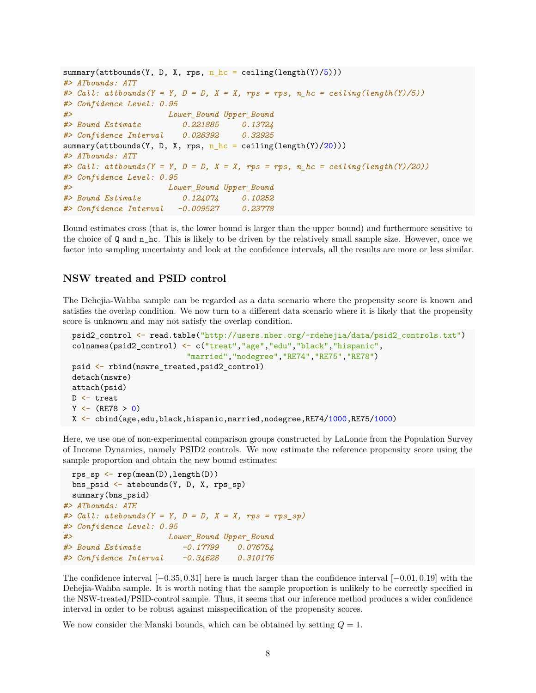```
summary(attbounds(Y, D, X, rps, n_h c = ceiling(length(Y)/5)))#> ATbounds: ATT
#> Call: attbounds(Y = Y, D = D, X = X, rps = rps, n_hc = ceiling(length(Y)/5))
#> Confidence Level: 0.95
#> Lower_Bound Upper_Bound
#> Bound Estimate 0.221885 0.13724
#> Confidence Interval 0.028392 0.32925
summary(attbounds(Y, D, X, rps, n_hc = ceiling(length(Y)/20)))#> ATbounds: ATT
#> Call: attbounds(Y = Y, D = D, X = X, rps = rps, n_hc = ceiling(length(Y)/20))
#> Confidence Level: 0.95
#> Lower_Bound Upper_Bound
#> Bound Estimate 0.124074 0.10252
#> Confidence Interval -0.009527 0.23778
```
Bound estimates cross (that is, the lower bound is larger than the upper bound) and furthermore sensitive to the choice of Q and n\_hc. This is likely to be driven by the relatively small sample size. However, once we factor into sampling uncertainty and look at the confidence intervals, all the results are more or less similar.

## **NSW treated and PSID control**

The Dehejia-Wahba sample can be regarded as a data scenario where the propensity score is known and satisfies the overlap condition. We now turn to a different data scenario where it is likely that the propensity score is unknown and may not satisfy the overlap condition.

```
psid2_control <- read.table("http://users.nber.org/~rdehejia/data/psid2_controls.txt")
colnames(psid2_control) <- c("treat","age","edu","black","hispanic",
                          "married","nodegree","RE74","RE75","RE78")
psid <- rbind(nswre_treated,psid2_control)
detach(nswre)
attach(psid)
D <- treat
Y \leftarrow (RE78 > 0)X <- cbind(age,edu,black,hispanic,married,nodegree,RE74/1000,RE75/1000)
```
Here, we use one of non-experimental comparison groups constructed by LaLonde from the Population Survey of Income Dynamics, namely PSID2 controls. We now estimate the reference propensity score using the sample proportion and obtain the new bound estimates:

```
rps_sp \leftarrow rep(mean(D), length(D))bns_psid <- atebounds(Y, D, X, rps_sp)
 summary(bns_psid)
#> ATbounds: ATE
#> Call: atebounds(Y = Y, D = D, X = X, rps = rps_sp)
#> Confidence Level: 0.95
#> Lower_Bound Upper_Bound
#> Bound Estimate -0.17799 0.076754
#> Confidence Interval -0.34628 0.310176
```
The confidence interval [−0*.*35*,* 0*.*31] here is much larger than the confidence interval [−0*.*01*,* 0*.*19] with the Dehejia-Wahba sample. It is worth noting that the sample proportion is unlikely to be correctly specified in the NSW-treated/PSID-control sample. Thus, it seems that our inference method produces a wider confidence interval in order to be robust against misspecification of the propensity scores.

We now consider the Manski bounds, which can be obtained by setting  $Q = 1$ .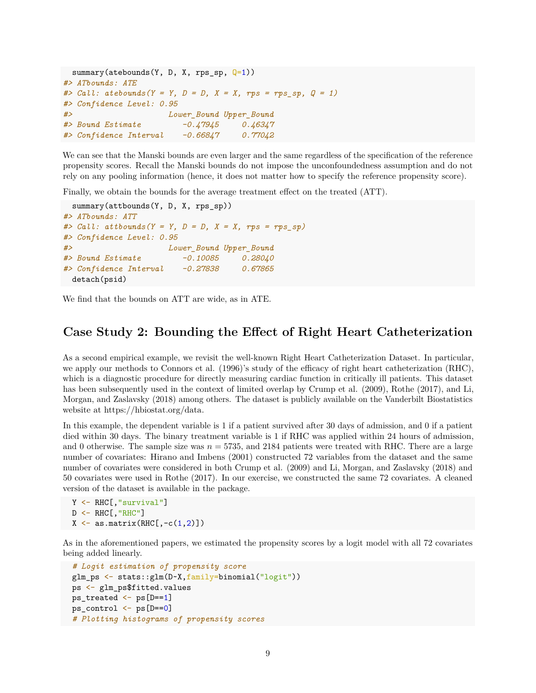```
summary(atebounds(Y, D, X, rps_sp, Q=1))
#> ATbounds: ATE
#> Call: atebounds(Y = Y, D = D, X = X, rps = rps_sp, Q = 1)
#> Confidence Level: 0.95
#> Lower_Bound Upper_Bound
#> Bound Estimate -0.47945 0.46347
#> Confidence Interval -0.66847 0.77042
```
We can see that the Manski bounds are even larger and the same regardless of the specification of the reference propensity scores. Recall the Manski bounds do not impose the unconfoundedness assumption and do not rely on any pooling information (hence, it does not matter how to specify the reference propensity score).

Finally, we obtain the bounds for the average treatment effect on the treated (ATT).

```
summary(attbounds(Y, D, X, rps_sp))
#> ATbounds: ATT
#> Call: attbounds(Y = Y, D = D, X = X, rps = rps_sp)
#> Confidence Level: 0.95
#> Lower_Bound Upper_Bound
#> Bound Estimate -0.10085 0.28040
#> Confidence Interval -0.27838 0.67865
 detach(psid)
```
We find that the bounds on ATT are wide, as in ATE.

# **Case Study 2: Bounding the Effect of Right Heart Catheterization**

As a second empirical example, we revisit the well-known Right Heart Catheterization Dataset. In particular, we apply our methods to Connors et al. (1996)'s study of the efficacy of right heart catheterization (RHC), which is a diagnostic procedure for directly measuring cardiac function in critically ill patients. This dataset has been subsequently used in the context of limited overlap by Crump et al. (2009), Rothe (2017), and Li, Morgan, and Zaslavsky (2018) among others. The dataset is publicly available on the Vanderbilt Biostatistics website at [https://hbiostat.org/data.](https://hbiostat.org/data)

In this example, the dependent variable is 1 if a patient survived after 30 days of admission, and 0 if a patient died within 30 days. The binary treatment variable is 1 if RHC was applied within 24 hours of admission, and 0 otherwise. The sample size was  $n = 5735$ , and 2184 patients were treated with RHC. There are a large number of covariates: Hirano and Imbens (2001) constructed 72 variables from the dataset and the same number of covariates were considered in both Crump et al. (2009) and Li, Morgan, and Zaslavsky (2018) and 50 covariates were used in Rothe (2017). In our exercise, we constructed the same 72 covariates. A cleaned version of the dataset is available in the package.

```
Y <- RHC[,"survival"]
D \leftarrow RHC[, "RHC"]
X \leftarrow \text{as matrix}(\text{RHC}[\,,-c(1,2)])
```
As in the aforementioned papers, we estimated the propensity scores by a logit model with all 72 covariates being added linearly.

```
# Logit estimation of propensity score
glm_ps <- stats::glm(D~X,family=binomial("logit"))
ps <- glm_ps$fitted.values
ps treated \leq ps [D==1]ps_control <- ps[D==0]
# Plotting histograms of propensity scores
```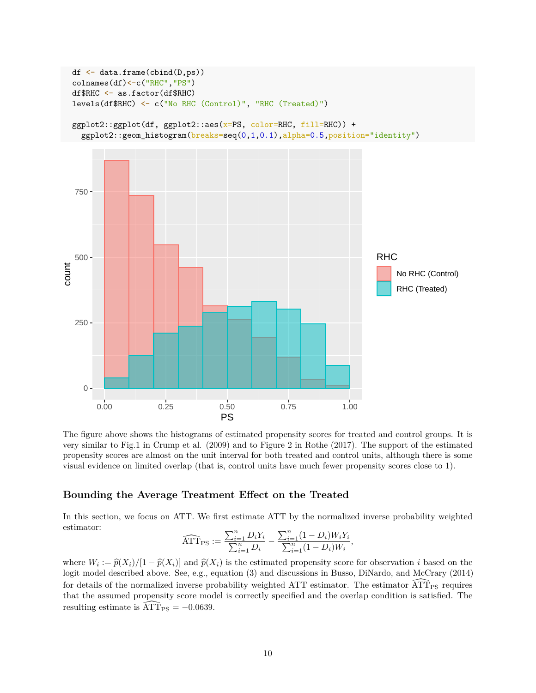

The figure above shows the histograms of estimated propensity scores for treated and control groups. It is very similar to Fig.1 in Crump et al. (2009) and to Figure 2 in Rothe (2017). The support of the estimated propensity scores are almost on the unit interval for both treated and control units, although there is some visual evidence on limited overlap (that is, control units have much fewer propensity scores close to 1).

## **Bounding the Average Treatment Effect on the Treated**

In this section, we focus on ATT. We first estimate ATT by the normalized inverse probability weighted estimator:

$$
\widehat{\mathrm{ATT}}_{\mathrm{PS}} := \frac{\sum_{i=1}^{n} D_i Y_i}{\sum_{i=1}^{n} D_i} - \frac{\sum_{i=1}^{n} (1 - D_i) W_i Y_i}{\sum_{i=1}^{n} (1 - D_i) W_i},
$$

where  $W_i := \hat{p}(X_i) / [1 - \hat{p}(X_i)]$  and  $\hat{p}(X_i)$  is the estimated propensity score for observation *i* based on the logit model described above. See a.g. countion (2) and discussions in Buses. DiNardo, and McCraw (2014) logit model described above. See, e.g., equation (3) and discussions in Busso, DiNardo, and McCrary (2014) for details of the normalized inverse probability weighted ATT estimator. The estimator  $\widehat{ATT}_{PS}$  requires that the assumed propensity score model is correctly specified and the overlap condition is satisfied. The resulting estimate is  $\widehat{\text{ATT}}_{\text{PS}} = -0.0639$ .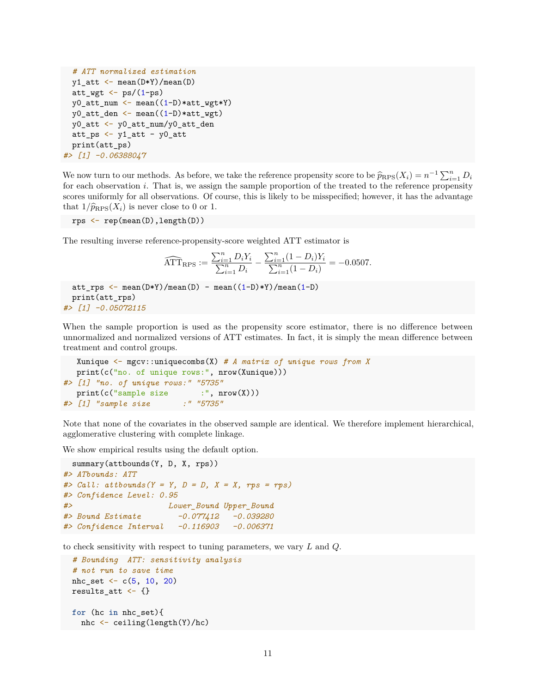```
# ATT normalized estimation
  y1_att <- mean(D*Y)/mean(D)
  att_wgt \leftarrow ps/(1-ps)y0_att_num <- mean((1-D)*att_wgt*Y)
  y0_att_den <- mean((1-D)*att_wgt)
  y0_att <- y0_att_num/y0_att_den
 att_ps \leftarrow y1_att - y0_attprint(att_ps)
#> [1] -0.06388047
```
We now turn to our methods. As before, we take the reference propensity score to be  $\hat{p}_{RPS}(X_i) = n^{-1} \sum_{i=1}^n D_i$ <br>for each observation *i*. That is we assign the sample proportion of the treated to the reference proportiv for each observation *i*. That is, we assign the sample proportion of the treated to the reference propensity scores uniformly for all observations. Of course, this is likely to be misspecified; however, it has the advantage that  $1/\widehat{p}_{RPS}(X_i)$  is never close to 0 or 1.

rps <- rep(mean(D),length(D))

The resulting inverse reference-propensity-score weighted ATT estimator is

$$
\widehat{\mathrm{ATT}}_{\mathrm{RPS}} := \frac{\sum_{i=1}^{n} D_i Y_i}{\sum_{i=1}^{n} D_i} - \frac{\sum_{i=1}^{n} (1 - D_i) Y_i}{\sum_{i=1}^{n} (1 - D_i)} = -0.0507.
$$

```
att_rps <- mean(D*Y)/mean(D) - mean((1-D)*Y)/mean(1-D)
 print(att_rps)
#> [1] -0.05072115
```
When the sample proportion is used as the propensity score estimator, there is no difference between unnormalized and normalized versions of ATT estimates. In fact, it is simply the mean difference between treatment and control groups.

```
Xunique <- mgcv::uniquecombs(X) # A matrix of unique rows from X
  print(c("no. of unique rows:", nrow(Xunique)))
#> [1] "no. of unique rows:" "5735"
  print(c("sample size :", nrow(X)))
#> [1] "sample size :" "5735"
```
Note that none of the covariates in the observed sample are identical. We therefore implement hierarchical, agglomerative clustering with complete linkage.

We show empirical results using the default option.

```
summary(attbounds(Y, D, X, rps))
#> ATbounds: ATT
#> Call: attbounds(Y = Y, D = D, X = X, rps = rps)
#> Confidence Level: 0.95
#> Lower_Bound Upper_Bound
#> Bound Estimate -0.077412 -0.039280
#> Confidence Interval -0.116903 -0.006371
```
to check sensitivity with respect to tuning parameters, we vary *L* and *Q*.

```
# Bounding ATT: sensitivity analysis
# not run to save time
nhc_set \leq c(5, 10, 20)
results_att <- {}
for (hc in nhc_set){
  nhc <- ceiling(length(Y)/hc)
```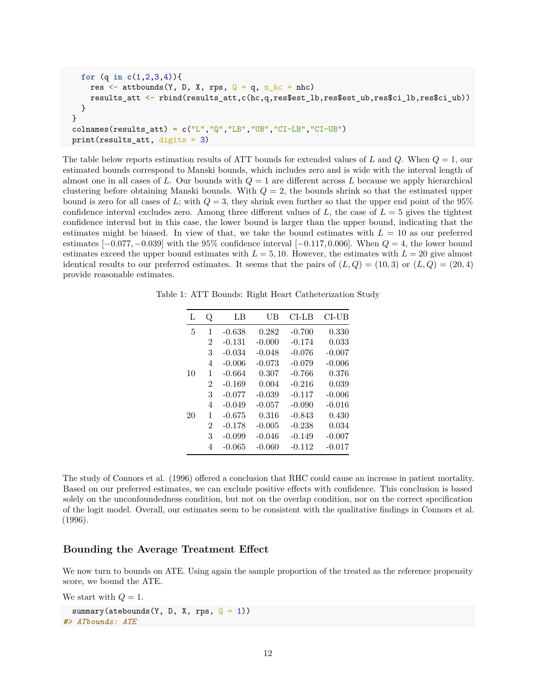```
for (q in c(1,2,3,4)){
    res \leq attbounds(Y, D, X, rps, Q = q, n<sub>_hc</sub> = nhc)
    results_att <- rbind(results_att,c(hc,q,res$est_lb,res$est_ub,res$ci_lb,res$ci_ub))
  }
}
colnames(results_att) = c("L","Q","LB","UB","CI-LB","CI-UB")
print(results_att, digits = 3)
```
The table below reports estimation results of ATT bounds for extended values of *L* and *Q*. When *Q* = 1, our estimated bounds correspond to Manski bounds, which includes zero and is wide with the interval length of almost one in all cases of *L*. Our bounds with *Q* = 1 are different across *L* because we apply hierarchical clustering before obtaining Manski bounds. With  $Q = 2$ , the bounds shrink so that the estimated upper bound is zero for all cases of *L*; with  $Q = 3$ , they shrink even further so that the upper end point of the 95% confidence interval excludes zero. Among three different values of  $L$ , the case of  $L = 5$  gives the tightest confidence interval but in this case, the lower bound is larger than the upper bound, indicating that the estimates might be biased. In view of that, we take the bound estimates with  $L = 10$  as our preferred estimates [−0*.*077*,* −0*.*039] with the 95% confidence interval [−0*.*117*,* 0*.*006]. When *Q* = 4, the lower bound estimates exceed the upper bound estimates with  $L = 5, 10$ . However, the estimates with  $L = 20$  give almost identical results to our preferred estimates. It seems that the pairs of  $(L, Q) = (10, 3)$  or  $(L, Q) = (20, 4)$ provide reasonable estimates.

Table 1: ATT Bounds: Right Heart Catheterization Study

| L  | Q | LB       | UB       | $CL-LB$  | CI-UB    |
|----|---|----------|----------|----------|----------|
| 5  | 1 | $-0.638$ | 0.282    | $-0.700$ | 0.330    |
|    | 2 | $-0.131$ | $-0.000$ | $-0.174$ | 0.033    |
|    | 3 | $-0.034$ | $-0.048$ | $-0.076$ | $-0.007$ |
|    | 4 | $-0.006$ | $-0.073$ | $-0.079$ | $-0.006$ |
| 10 | 1 | $-0.664$ | 0.307    | $-0.766$ | 0.376    |
|    | 2 | $-0.169$ | 0.004    | $-0.216$ | 0.039    |
|    | 3 | $-0.077$ | $-0.039$ | $-0.117$ | $-0.006$ |
|    | 4 | $-0.049$ | $-0.057$ | $-0.090$ | $-0.016$ |
| 20 | 1 | $-0.675$ | 0.316    | $-0.843$ | 0.430    |
|    | 2 | $-0.178$ | $-0.005$ | $-0.238$ | 0.034    |
|    | 3 | $-0.099$ | $-0.046$ | $-0.149$ | $-0.007$ |
|    | 4 | $-0.065$ | $-0.060$ | $-0.112$ | $-0.017$ |

The study of Connors et al. (1996) offered a conclusion that RHC could cause an increase in patient mortality. Based on our preferred estimates, we can exclude positive effects with confidence. This conclusion is based solely on the unconfoundedness condition, but not on the overlap condition, nor on the correct specification of the logit model. Overall, our estimates seem to be consistent with the qualitative findings in Connors et al. (1996).

# **Bounding the Average Treatment Effect**

We now turn to bounds on ATE. Using again the sample proportion of the treated as the reference propensity score, we bound the ATE.

We start with  $Q = 1$ .

```
summary(atebounds(Y, D, X, rps, Q = 1))
#> ATbounds: ATE
```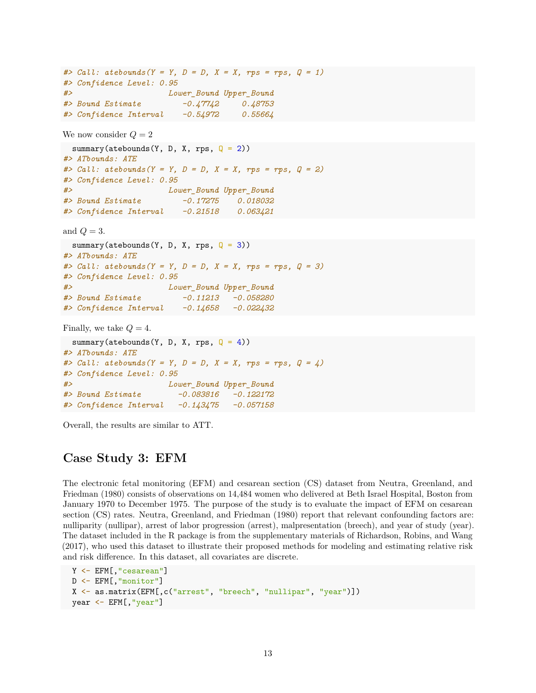*#> Call: atebounds(Y = Y, D = D, X = X, rps = rps, Q = 1) #> Confidence Level: 0.95 #> Lower\_Bound Upper\_Bound #> Bound Estimate -0.47742 0.48753 #> Confidence Interval -0.54972 0.55664*

We now consider  $Q = 2$ 

summary(atebounds(Y, D, X, rps,  $Q = 2$ )) *#> ATbounds: ATE #> Call: atebounds(Y = Y, D = D, X = X, rps = rps, Q = 2) #> Confidence Level: 0.95 #> Lower\_Bound Upper\_Bound #> Bound Estimate -0.17275 0.018032 #> Confidence Interval -0.21518 0.063421*

and  $Q = 3$ .

```
summary(atebounds(Y, D, X, rps, Q = 3))
#> ATbounds: ATE
#> Call: atebounds(Y = Y, D = D, X = X, rps = rps, Q = 3)
#> Confidence Level: 0.95
#> Lower_Bound Upper_Bound
#> Bound Estimate -0.11213 -0.058280
#> Confidence Interval -0.14658 -0.022432
Finally, we take Q = 4.
 summary(atebounds(Y, D, X, rps, Q = 4))
```

```
#> ATbounds: ATE
#> Call: atebounds(Y = Y, D = D, X = X, rps = rps, Q = 4)
#> Confidence Level: 0.95
#> Lower_Bound Upper_Bound
#> Bound Estimate -0.083816 -0.122172
#> Confidence Interval -0.143475 -0.057158
```
Overall, the results are similar to ATT.

# **Case Study 3: EFM**

The electronic fetal monitoring (EFM) and cesarean section (CS) dataset from Neutra, Greenland, and Friedman (1980) consists of observations on 14,484 women who delivered at Beth Israel Hospital, Boston from January 1970 to December 1975. The purpose of the study is to evaluate the impact of EFM on cesarean section (CS) rates. Neutra, Greenland, and Friedman (1980) report that relevant confounding factors are: nulliparity (nullipar), arrest of labor progression (arrest), malpresentation (breech), and year of study (year). The dataset included in the R package is from the supplementary materials of Richardson, Robins, and Wang (2017), who used this dataset to illustrate their proposed methods for modeling and estimating relative risk and risk difference. In this dataset, all covariates are discrete.

```
Y <- EFM[,"cesarean"]
D <- EFM[,"monitor"]
X <- as.matrix(EFM[,c("arrest", "breech", "nullipar", "year")])
year <- EFM[,"year"]
```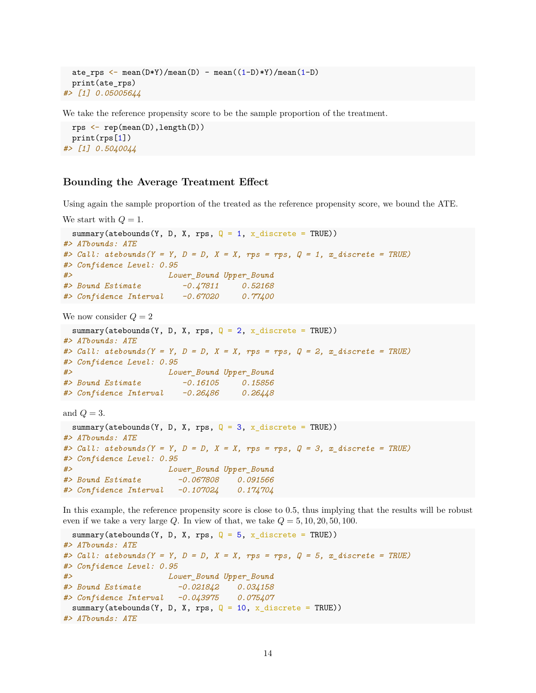```
ate_rps <- mean(D*Y)/mean(D) - mean((1-D)*Y)/mean(1-D)
 print(ate_rps)
#> [1] 0.05005644
```
We take the reference propensity score to be the sample proportion of the treatment.

```
rps <- rep(mean(D),length(D))
 print(rps[1])
#> [1] 0.5040044
```
### **Bounding the Average Treatment Effect**

Using again the sample proportion of the treated as the reference propensity score, we bound the ATE.

```
We start with Q = 1.
 summary(atebounds(Y, D, X, rps, Q = 1, x_discrete = TRUE))
#> ATbounds: ATE
#> Call: atebounds(Y = Y, D = D, X = X, rps = rps, Q = 1, x_discrete = TRUE)
#> Confidence Level: 0.95
#> Lower_Bound Upper_Bound
#> Bound Estimate -0.47811 0.52168
#> Confidence Interval -0.67020 0.77400
```
We now consider  $Q = 2$ 

```
summary(atebounds(Y, D, X, rps, Q = 2, x_discrete = TRUE))
#> ATbounds: ATE
#> Call: atebounds(Y = Y, D = D, X = X, rps = rps, Q = 2, x_discrete = TRUE)
#> Confidence Level: 0.95
#> Lower_Bound Upper_Bound
#> Bound Estimate -0.16105 0.15856
#> Confidence Interval -0.26486 0.26448
```
and  $Q = 3$ .

```
summary(atebounds(Y, D, X, rps, Q = 3, x_discrete = TRUE))
#> ATbounds: ATE
#> Call: atebounds(Y = Y, D = D, X = X, rps = rps, Q = 3, x_discrete = TRUE)
#> Confidence Level: 0.95
#> Lower_Bound Upper_Bound
#> Bound Estimate -0.067808 0.091566
#> Confidence Interval -0.107024 0.174704
```
In this example, the reference propensity score is close to 0.5, thus implying that the results will be robust even if we take a very large  $Q$ . In view of that, we take  $Q = 5, 10, 20, 50, 100$ .

```
summary(atebounds(Y, D, X, rps, Q = 5, x_discrete = TRUE))
#> ATbounds: ATE
#> Call: atebounds(Y = Y, D = D, X = X, rps = rps, Q = 5, x_discrete = TRUE)
#> Confidence Level: 0.95
#> Lower_Bound Upper_Bound
#> Bound Estimate -0.021842 0.034158
#> Confidence Interval -0.043975 0.075407
 summary(atebounds(Y, D, X, rps, Q = 10, x_discrete = TRUE))
#> ATbounds: ATE
```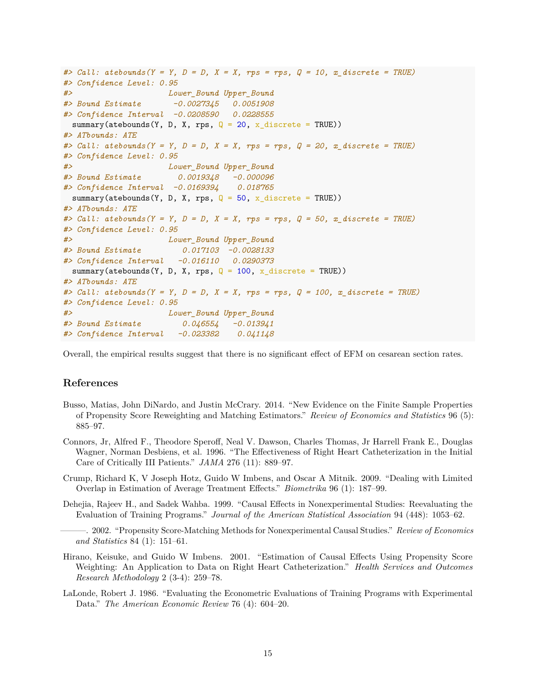```
#> Call: atebounds(Y = Y, D = D, X = X, rps = rps, Q = 10, x_discrete = TRUE)
#> Confidence Level: 0.95
#> Lower_Bound Upper_Bound
#> Bound Estimate -0.0027345 0.0051908
#> Confidence Interval -0.0208590 0.0228555
 summary(atebounds(Y, D, X, rps, Q = 20, x_discrete = TRUE))
#> ATbounds: ATE
#> Call: atebounds(Y = Y, D = D, X = X, rps = rps, Q = 20, x_discrete = TRUE)
#> Confidence Level: 0.95
#> Lower_Bound Upper_Bound
#> Bound Estimate 0.0019348 -0.000096
#> Confidence Interval -0.0169394 0.018765
 summary(atebounds(Y, D, X, rps, Q = 50, x discrete = TRUE))
#> ATbounds: ATE
#> Call: atebounds(Y = Y, D = D, X = X, rps = rps, Q = 50, x_discrete = TRUE)
#> Confidence Level: 0.95
#> Lower_Bound Upper_Bound
#> Bound Estimate 0.017103 -0.0028133
#> Confidence Interval -0.016110 0.0290373
 summary(atebounds(Y, D, X, rps, Q = 100, x_discrete = TRUE))
#> ATbounds: ATE
#> Call: atebounds(Y = Y, D = D, X = X, rps = rps, Q = 100, x_discrete = TRUE)
#> Confidence Level: 0.95
#> Lower_Bound Upper_Bound
#> Bound Estimate 0.046554 -0.013941
#> Confidence Interval -0.023382 0.041148
```
Overall, the empirical results suggest that there is no significant effect of EFM on cesarean section rates.

#### **References**

- Busso, Matias, John DiNardo, and Justin McCrary. 2014. "New Evidence on the Finite Sample Properties of Propensity Score Reweighting and Matching Estimators." *Review of Economics and Statistics* 96 (5): 885–97.
- Connors, Jr, Alfred F., Theodore Speroff, Neal V. Dawson, Charles Thomas, Jr Harrell Frank E., Douglas Wagner, Norman Desbiens, et al. 1996. "The Effectiveness of Right Heart Catheterization in the Initial Care of Critically III Patients." *JAMA* 276 (11): 889–97.
- Crump, Richard K, V Joseph Hotz, Guido W Imbens, and Oscar A Mitnik. 2009. "Dealing with Limited Overlap in Estimation of Average Treatment Effects." *Biometrika* 96 (1): 187–99.
- Dehejia, Rajeev H., and Sadek Wahba. 1999. "Causal Effects in Nonexperimental Studies: Reevaluating the Evaluation of Training Programs." *Journal of the American Statistical Association* 94 (448): 1053–62.
	- ———. 2002. "Propensity Score-Matching Methods for Nonexperimental Causal Studies." *Review of Economics and Statistics* 84 (1): 151–61.
- Hirano, Keisuke, and Guido W Imbens. 2001. "Estimation of Causal Effects Using Propensity Score Weighting: An Application to Data on Right Heart Catheterization." *Health Services and Outcomes Research Methodology* 2 (3-4): 259–78.
- LaLonde, Robert J. 1986. "Evaluating the Econometric Evaluations of Training Programs with Experimental Data." *The American Economic Review* 76 (4): 604–20.